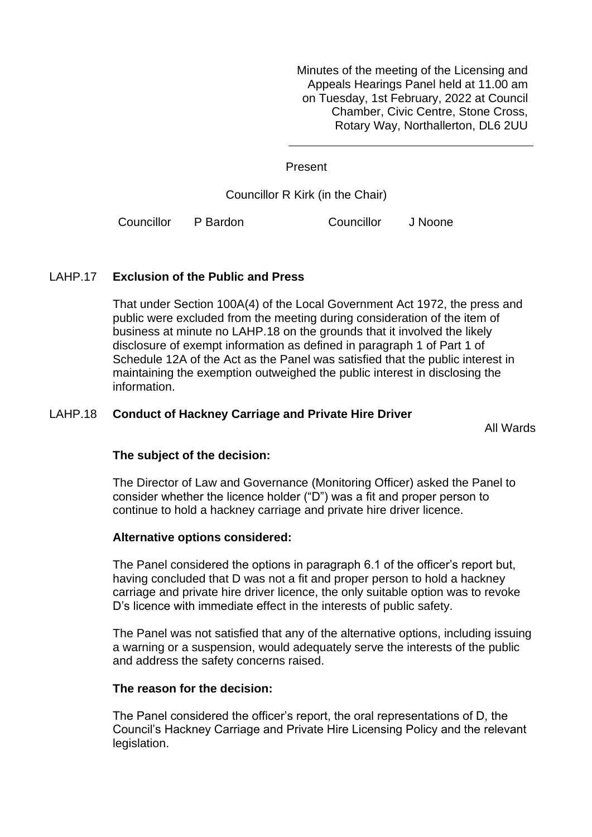Minutes of the meeting of the Licensing and Appeals Hearings Panel held at 11.00 am on Tuesday, 1st February, 2022 at Council Chamber, Civic Centre, Stone Cross, Rotary Way, Northallerton, DL6 2UU

Present

Councillor R Kirk (in the Chair)

Councillor P Bardon Councillor J Noone

## LAHP.17 **Exclusion of the Public and Press**

That under Section 100A(4) of the Local Government Act 1972, the press and public were excluded from the meeting during consideration of the item of business at minute no LAHP.18 on the grounds that it involved the likely disclosure of exempt information as defined in paragraph 1 of Part 1 of Schedule 12A of the Act as the Panel was satisfied that the public interest in maintaining the exemption outweighed the public interest in disclosing the information.

### LAHP.18 **Conduct of Hackney Carriage and Private Hire Driver**

All Wards

#### **The subject of the decision:**

The Director of Law and Governance (Monitoring Officer) asked the Panel to consider whether the licence holder ("D") was a fit and proper person to continue to hold a hackney carriage and private hire driver licence.

#### **Alternative options considered:**

The Panel considered the options in paragraph 6.1 of the officer's report but, having concluded that D was not a fit and proper person to hold a hackney carriage and private hire driver licence, the only suitable option was to revoke D's licence with immediate effect in the interests of public safety.

The Panel was not satisfied that any of the alternative options, including issuing a warning or a suspension, would adequately serve the interests of the public and address the safety concerns raised.

#### **The reason for the decision:**

The Panel considered the officer's report, the oral representations of D, the Council's Hackney Carriage and Private Hire Licensing Policy and the relevant legislation.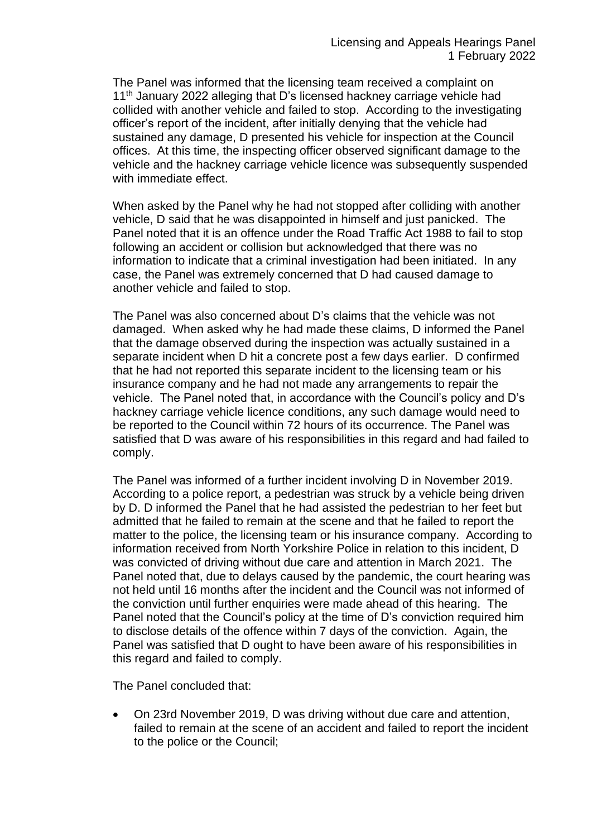The Panel was informed that the licensing team received a complaint on 11<sup>th</sup> January 2022 alleging that D's licensed hackney carriage vehicle had collided with another vehicle and failed to stop. According to the investigating officer's report of the incident, after initially denying that the vehicle had sustained any damage, D presented his vehicle for inspection at the Council offices. At this time, the inspecting officer observed significant damage to the vehicle and the hackney carriage vehicle licence was subsequently suspended with immediate effect.

When asked by the Panel why he had not stopped after colliding with another vehicle, D said that he was disappointed in himself and just panicked. The Panel noted that it is an offence under the Road Traffic Act 1988 to fail to stop following an accident or collision but acknowledged that there was no information to indicate that a criminal investigation had been initiated. In any case, the Panel was extremely concerned that D had caused damage to another vehicle and failed to stop.

The Panel was also concerned about D's claims that the vehicle was not damaged. When asked why he had made these claims, D informed the Panel that the damage observed during the inspection was actually sustained in a separate incident when D hit a concrete post a few days earlier. D confirmed that he had not reported this separate incident to the licensing team or his insurance company and he had not made any arrangements to repair the vehicle. The Panel noted that, in accordance with the Council's policy and D's hackney carriage vehicle licence conditions, any such damage would need to be reported to the Council within 72 hours of its occurrence. The Panel was satisfied that D was aware of his responsibilities in this regard and had failed to comply.

The Panel was informed of a further incident involving D in November 2019. According to a police report, a pedestrian was struck by a vehicle being driven by D. D informed the Panel that he had assisted the pedestrian to her feet but admitted that he failed to remain at the scene and that he failed to report the matter to the police, the licensing team or his insurance company. According to information received from North Yorkshire Police in relation to this incident, D was convicted of driving without due care and attention in March 2021. The Panel noted that, due to delays caused by the pandemic, the court hearing was not held until 16 months after the incident and the Council was not informed of the conviction until further enquiries were made ahead of this hearing. The Panel noted that the Council's policy at the time of D's conviction required him to disclose details of the offence within 7 days of the conviction. Again, the Panel was satisfied that D ought to have been aware of his responsibilities in this regard and failed to comply.

The Panel concluded that:

• On 23rd November 2019, D was driving without due care and attention, failed to remain at the scene of an accident and failed to report the incident to the police or the Council;